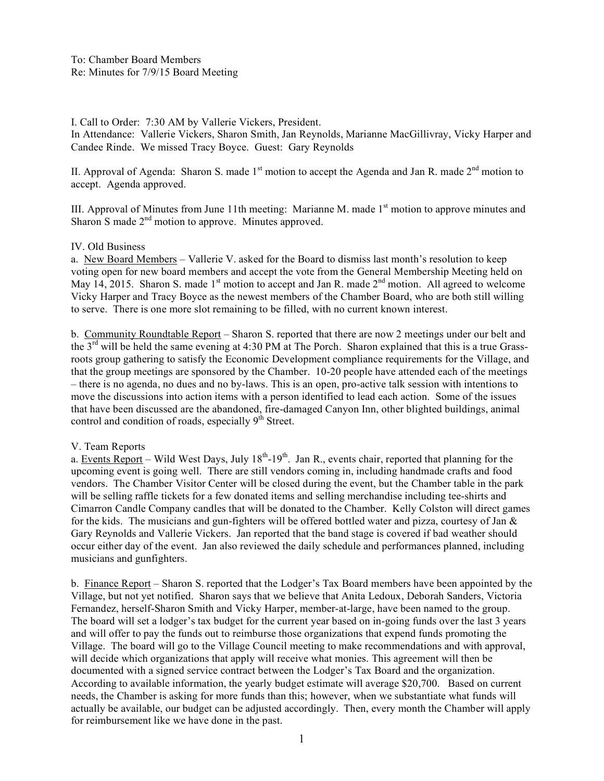I. Call to Order: 7:30 AM by Vallerie Vickers, President.

In Attendance: Vallerie Vickers, Sharon Smith, Jan Reynolds, Marianne MacGillivray, Vicky Harper and Candee Rinde. We missed Tracy Boyce. Guest: Gary Reynolds

II. Approval of Agenda: Sharon S. made  $1<sup>st</sup>$  motion to accept the Agenda and Jan R. made  $2<sup>nd</sup>$  motion to accept. Agenda approved.

III. Approval of Minutes from June 11th meeting: Marianne M. made  $1<sup>st</sup>$  motion to approve minutes and Sharon S made  $2<sup>nd</sup>$  motion to approve. Minutes approved.

## IV. Old Business

a. New Board Members – Vallerie V. asked for the Board to dismiss last month's resolution to keep voting open for new board members and accept the vote from the General Membership Meeting held on May 14, 2015. Sharon S. made 1<sup>st</sup> motion to accept and Jan R. made  $2<sup>nd</sup>$  motion. All agreed to welcome Vicky Harper and Tracy Boyce as the newest members of the Chamber Board, who are both still willing to serve. There is one more slot remaining to be filled, with no current known interest.

b. Community Roundtable Report – Sharon S. reported that there are now 2 meetings under our belt and the 3rd will be held the same evening at 4:30 PM at The Porch. Sharon explained that this is a true Grassroots group gathering to satisfy the Economic Development compliance requirements for the Village, and that the group meetings are sponsored by the Chamber. 10-20 people have attended each of the meetings – there is no agenda, no dues and no by-laws. This is an open, pro-active talk session with intentions to move the discussions into action items with a person identified to lead each action. Some of the issues that have been discussed are the abandoned, fire-damaged Canyon Inn, other blighted buildings, animal control and condition of roads, especially  $9<sup>th</sup>$  Street.

## V. Team Reports

a. Events Report – Wild West Days, July  $18^{th}$ -19<sup>th</sup>. Jan R., events chair, reported that planning for the upcoming event is going well. There are still vendors coming in, including handmade crafts and food vendors. The Chamber Visitor Center will be closed during the event, but the Chamber table in the park will be selling raffle tickets for a few donated items and selling merchandise including tee-shirts and Cimarron Candle Company candles that will be donated to the Chamber. Kelly Colston will direct games for the kids. The musicians and gun-fighters will be offered bottled water and pizza, courtesy of Jan  $\&$ Gary Reynolds and Vallerie Vickers. Jan reported that the band stage is covered if bad weather should occur either day of the event. Jan also reviewed the daily schedule and performances planned, including musicians and gunfighters.

b. Finance Report – Sharon S. reported that the Lodger's Tax Board members have been appointed by the Village, but not yet notified. Sharon says that we believe that Anita Ledoux, Deborah Sanders, Victoria Fernandez, herself-Sharon Smith and Vicky Harper, member-at-large, have been named to the group. The board will set a lodger's tax budget for the current year based on in-going funds over the last 3 years and will offer to pay the funds out to reimburse those organizations that expend funds promoting the Village. The board will go to the Village Council meeting to make recommendations and with approval, will decide which organizations that apply will receive what monies. This agreement will then be documented with a signed service contract between the Lodger's Tax Board and the organization. According to available information, the yearly budget estimate will average \$20,700. Based on current needs, the Chamber is asking for more funds than this; however, when we substantiate what funds will actually be available, our budget can be adjusted accordingly. Then, every month the Chamber will apply for reimbursement like we have done in the past.